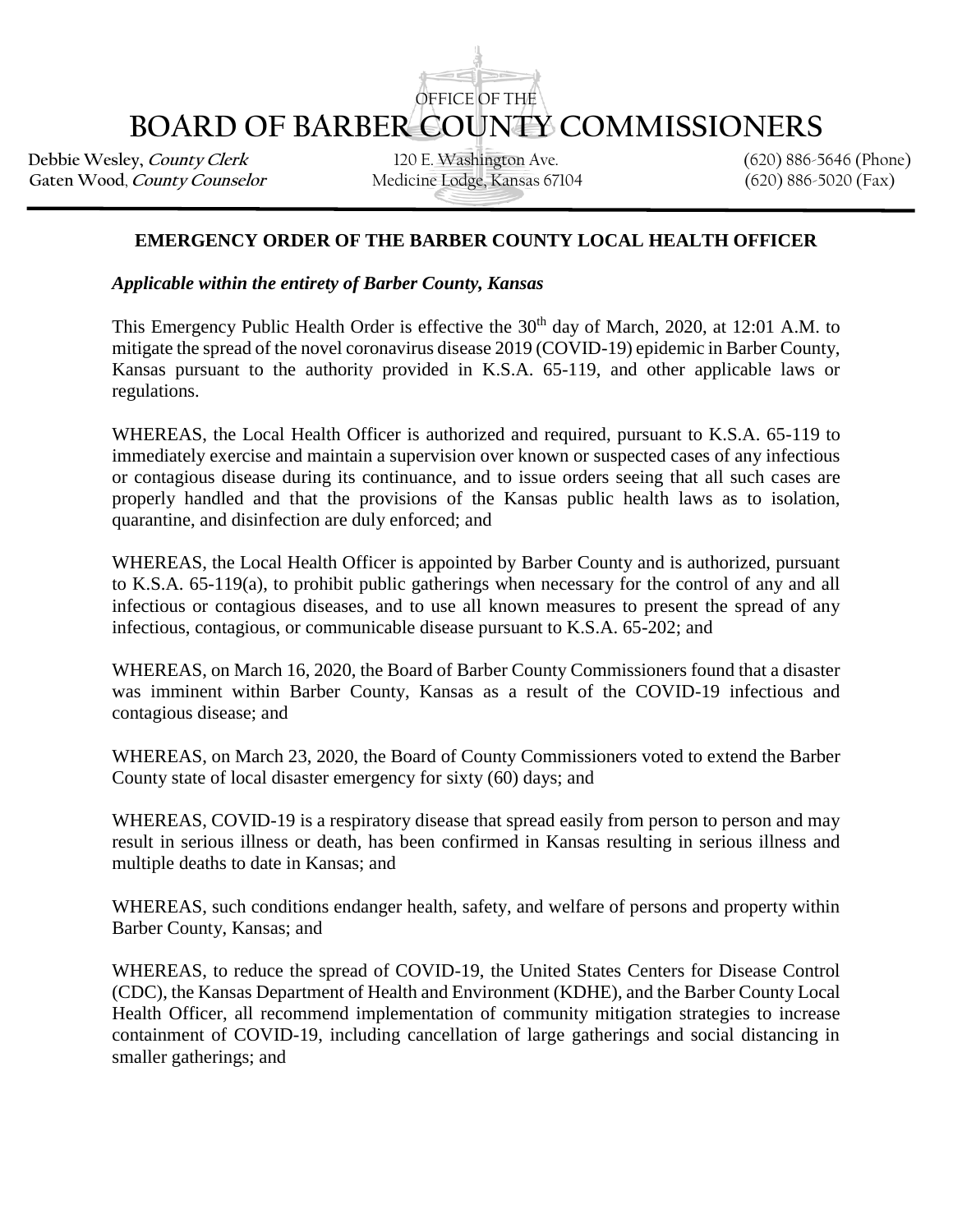## OFFICE OF THE **BOARD OF BARBER COUNTY COMMISSIONERS**

**Debbie Wesley,** *County Clerk* **120 E. Washington Ave.** (620) 886-5646 (Phone)<br>Gaten Wood, *County Counselor* Medicine Lodge, Kansas 67104 (620) 886-5020 (Fax) Gaten Wood, County Counselor

## **EMERGENCY ORDER OF THE BARBER COUNTY LOCAL HEALTH OFFICER**

*Applicable within the entirety of Barber County, Kansas*

This Emergency Public Health Order is effective the  $30<sup>th</sup>$  day of March, 2020, at 12:01 A.M. to mitigate the spread of the novel coronavirus disease 2019 (COVID-19) epidemic in Barber County, Kansas pursuant to the authority provided in K.S.A. 65-119, and other applicable laws or regulations.

WHEREAS, the Local Health Officer is authorized and required, pursuant to K.S.A. 65-119 to immediately exercise and maintain a supervision over known or suspected cases of any infectious or contagious disease during its continuance, and to issue orders seeing that all such cases are properly handled and that the provisions of the Kansas public health laws as to isolation, quarantine, and disinfection are duly enforced; and

WHEREAS, the Local Health Officer is appointed by Barber County and is authorized, pursuant to K.S.A. 65-119(a), to prohibit public gatherings when necessary for the control of any and all infectious or contagious diseases, and to use all known measures to present the spread of any infectious, contagious, or communicable disease pursuant to K.S.A. 65-202; and

WHEREAS, on March 16, 2020, the Board of Barber County Commissioners found that a disaster was imminent within Barber County, Kansas as a result of the COVID-19 infectious and contagious disease; and

WHEREAS, on March 23, 2020, the Board of County Commissioners voted to extend the Barber County state of local disaster emergency for sixty (60) days; and

WHEREAS, COVID-19 is a respiratory disease that spread easily from person to person and may result in serious illness or death, has been confirmed in Kansas resulting in serious illness and multiple deaths to date in Kansas; and

WHEREAS, such conditions endanger health, safety, and welfare of persons and property within Barber County, Kansas; and

WHEREAS, to reduce the spread of COVID-19, the United States Centers for Disease Control (CDC), the Kansas Department of Health and Environment (KDHE), and the Barber County Local Health Officer, all recommend implementation of community mitigation strategies to increase containment of COVID-19, including cancellation of large gatherings and social distancing in smaller gatherings; and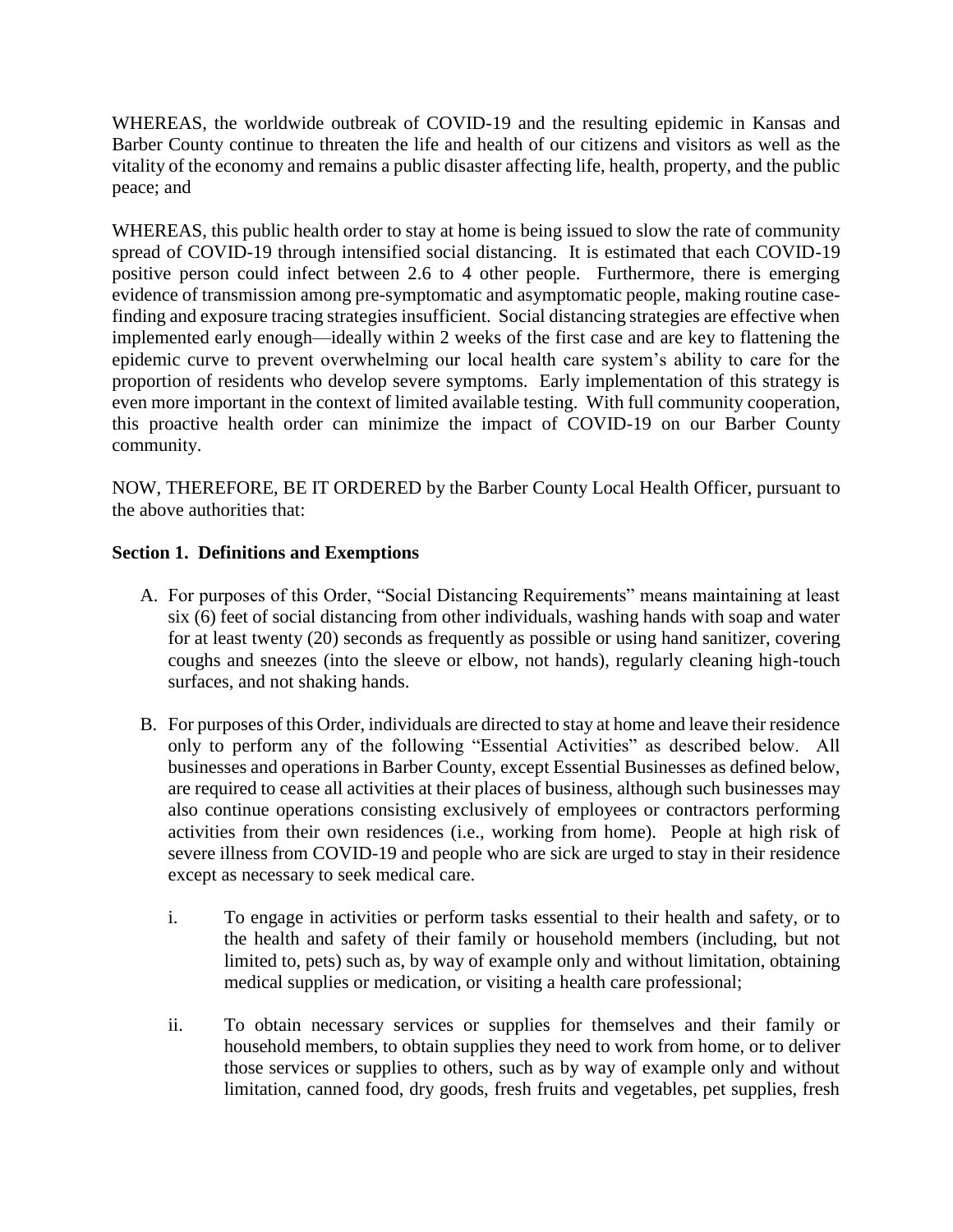WHEREAS, the worldwide outbreak of COVID-19 and the resulting epidemic in Kansas and Barber County continue to threaten the life and health of our citizens and visitors as well as the vitality of the economy and remains a public disaster affecting life, health, property, and the public peace; and

WHEREAS, this public health order to stay at home is being issued to slow the rate of community spread of COVID-19 through intensified social distancing. It is estimated that each COVID-19 positive person could infect between 2.6 to 4 other people. Furthermore, there is emerging evidence of transmission among pre-symptomatic and asymptomatic people, making routine casefinding and exposure tracing strategies insufficient. Social distancing strategies are effective when implemented early enough—ideally within 2 weeks of the first case and are key to flattening the epidemic curve to prevent overwhelming our local health care system's ability to care for the proportion of residents who develop severe symptoms. Early implementation of this strategy is even more important in the context of limited available testing. With full community cooperation, this proactive health order can minimize the impact of COVID-19 on our Barber County community.

NOW, THEREFORE, BE IT ORDERED by the Barber County Local Health Officer, pursuant to the above authorities that:

## **Section 1. Definitions and Exemptions**

- A. For purposes of this Order, "Social Distancing Requirements" means maintaining at least six (6) feet of social distancing from other individuals, washing hands with soap and water for at least twenty (20) seconds as frequently as possible or using hand sanitizer, covering coughs and sneezes (into the sleeve or elbow, not hands), regularly cleaning high-touch surfaces, and not shaking hands.
- B. For purposes of this Order, individuals are directed to stay at home and leave their residence only to perform any of the following "Essential Activities" as described below. All businesses and operations in Barber County, except Essential Businesses as defined below, are required to cease all activities at their places of business, although such businesses may also continue operations consisting exclusively of employees or contractors performing activities from their own residences (i.e., working from home). People at high risk of severe illness from COVID-19 and people who are sick are urged to stay in their residence except as necessary to seek medical care.
	- i. To engage in activities or perform tasks essential to their health and safety, or to the health and safety of their family or household members (including, but not limited to, pets) such as, by way of example only and without limitation, obtaining medical supplies or medication, or visiting a health care professional;
	- ii. To obtain necessary services or supplies for themselves and their family or household members, to obtain supplies they need to work from home, or to deliver those services or supplies to others, such as by way of example only and without limitation, canned food, dry goods, fresh fruits and vegetables, pet supplies, fresh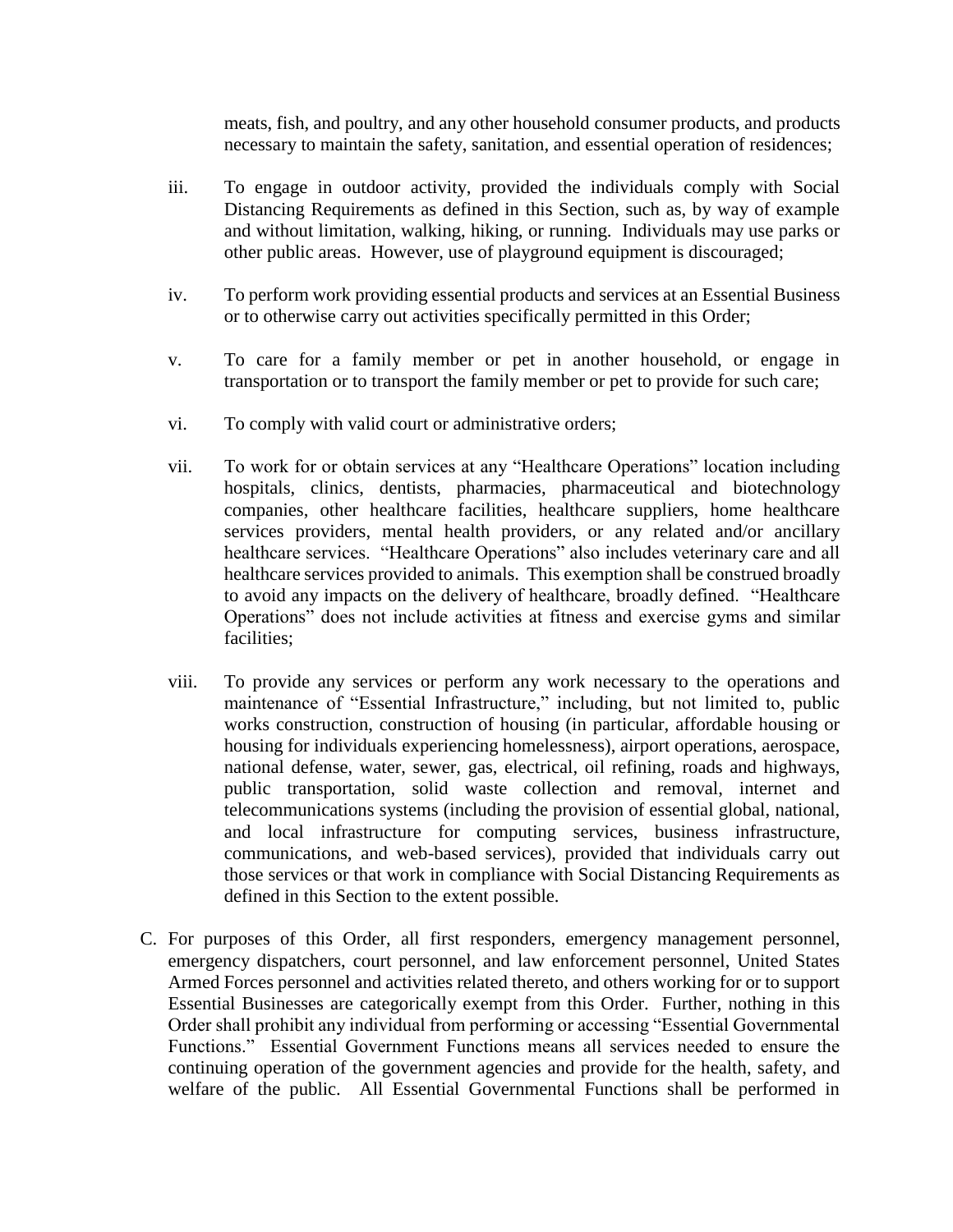meats, fish, and poultry, and any other household consumer products, and products necessary to maintain the safety, sanitation, and essential operation of residences;

- iii. To engage in outdoor activity, provided the individuals comply with Social Distancing Requirements as defined in this Section, such as, by way of example and without limitation, walking, hiking, or running. Individuals may use parks or other public areas. However, use of playground equipment is discouraged;
- iv. To perform work providing essential products and services at an Essential Business or to otherwise carry out activities specifically permitted in this Order;
- v. To care for a family member or pet in another household, or engage in transportation or to transport the family member or pet to provide for such care;
- vi. To comply with valid court or administrative orders;
- vii. To work for or obtain services at any "Healthcare Operations" location including hospitals, clinics, dentists, pharmacies, pharmaceutical and biotechnology companies, other healthcare facilities, healthcare suppliers, home healthcare services providers, mental health providers, or any related and/or ancillary healthcare services. "Healthcare Operations" also includes veterinary care and all healthcare services provided to animals. This exemption shall be construed broadly to avoid any impacts on the delivery of healthcare, broadly defined. "Healthcare Operations" does not include activities at fitness and exercise gyms and similar facilities;
- viii. To provide any services or perform any work necessary to the operations and maintenance of "Essential Infrastructure," including, but not limited to, public works construction, construction of housing (in particular, affordable housing or housing for individuals experiencing homelessness), airport operations, aerospace, national defense, water, sewer, gas, electrical, oil refining, roads and highways, public transportation, solid waste collection and removal, internet and telecommunications systems (including the provision of essential global, national, and local infrastructure for computing services, business infrastructure, communications, and web-based services), provided that individuals carry out those services or that work in compliance with Social Distancing Requirements as defined in this Section to the extent possible.
- C. For purposes of this Order, all first responders, emergency management personnel, emergency dispatchers, court personnel, and law enforcement personnel, United States Armed Forces personnel and activities related thereto, and others working for or to support Essential Businesses are categorically exempt from this Order. Further, nothing in this Order shall prohibit any individual from performing or accessing "Essential Governmental Functions." Essential Government Functions means all services needed to ensure the continuing operation of the government agencies and provide for the health, safety, and welfare of the public. All Essential Governmental Functions shall be performed in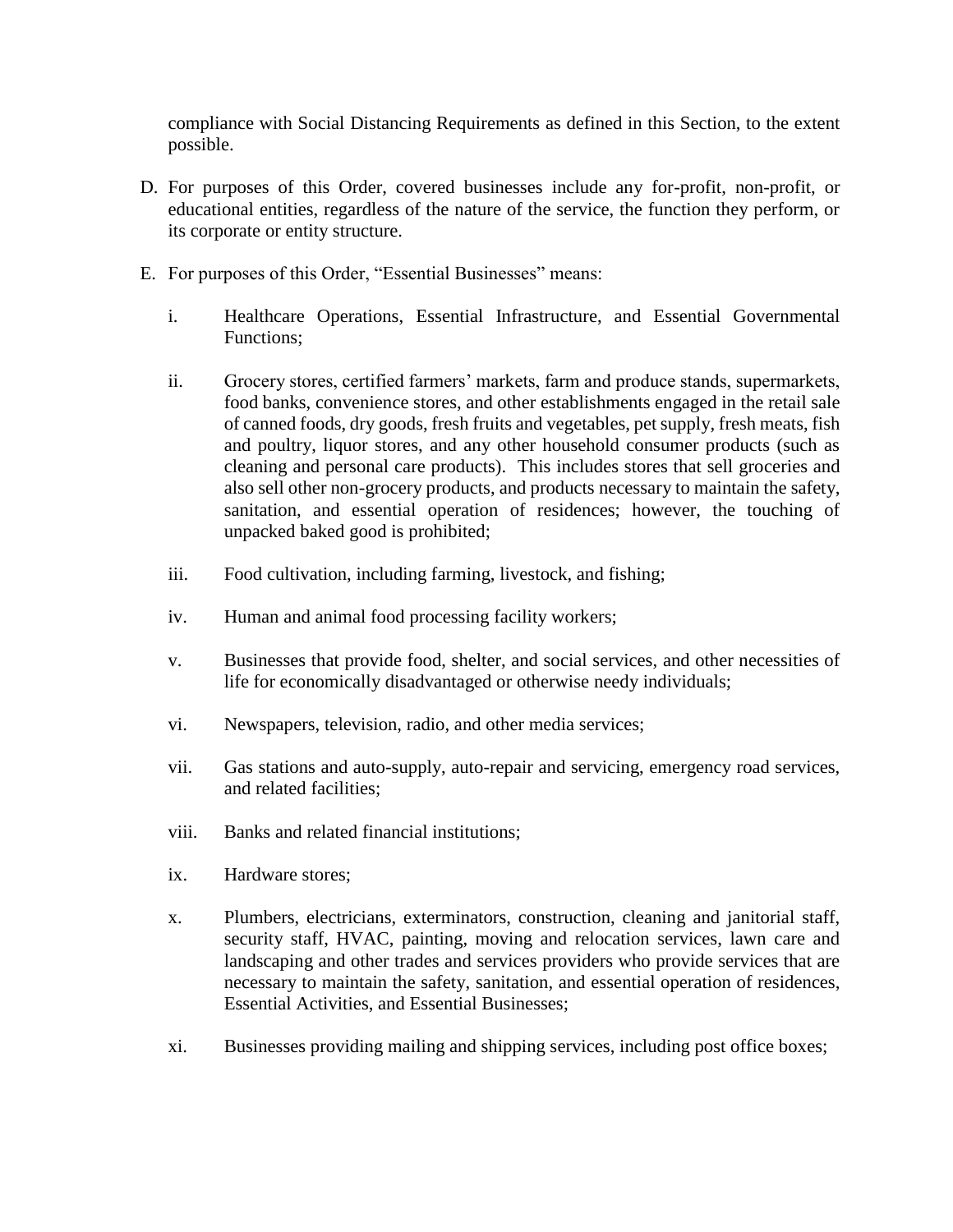compliance with Social Distancing Requirements as defined in this Section, to the extent possible.

- D. For purposes of this Order, covered businesses include any for-profit, non-profit, or educational entities, regardless of the nature of the service, the function they perform, or its corporate or entity structure.
- E. For purposes of this Order, "Essential Businesses" means:
	- i. Healthcare Operations, Essential Infrastructure, and Essential Governmental Functions;
	- ii. Grocery stores, certified farmers' markets, farm and produce stands, supermarkets, food banks, convenience stores, and other establishments engaged in the retail sale of canned foods, dry goods, fresh fruits and vegetables, pet supply, fresh meats, fish and poultry, liquor stores, and any other household consumer products (such as cleaning and personal care products). This includes stores that sell groceries and also sell other non-grocery products, and products necessary to maintain the safety, sanitation, and essential operation of residences; however, the touching of unpacked baked good is prohibited;
	- iii. Food cultivation, including farming, livestock, and fishing;
	- iv. Human and animal food processing facility workers;
	- v. Businesses that provide food, shelter, and social services, and other necessities of life for economically disadvantaged or otherwise needy individuals;
	- vi. Newspapers, television, radio, and other media services;
	- vii. Gas stations and auto-supply, auto-repair and servicing, emergency road services, and related facilities;
	- viii. Banks and related financial institutions;
	- ix. Hardware stores;
	- x. Plumbers, electricians, exterminators, construction, cleaning and janitorial staff, security staff, HVAC, painting, moving and relocation services, lawn care and landscaping and other trades and services providers who provide services that are necessary to maintain the safety, sanitation, and essential operation of residences, Essential Activities, and Essential Businesses;
	- xi. Businesses providing mailing and shipping services, including post office boxes;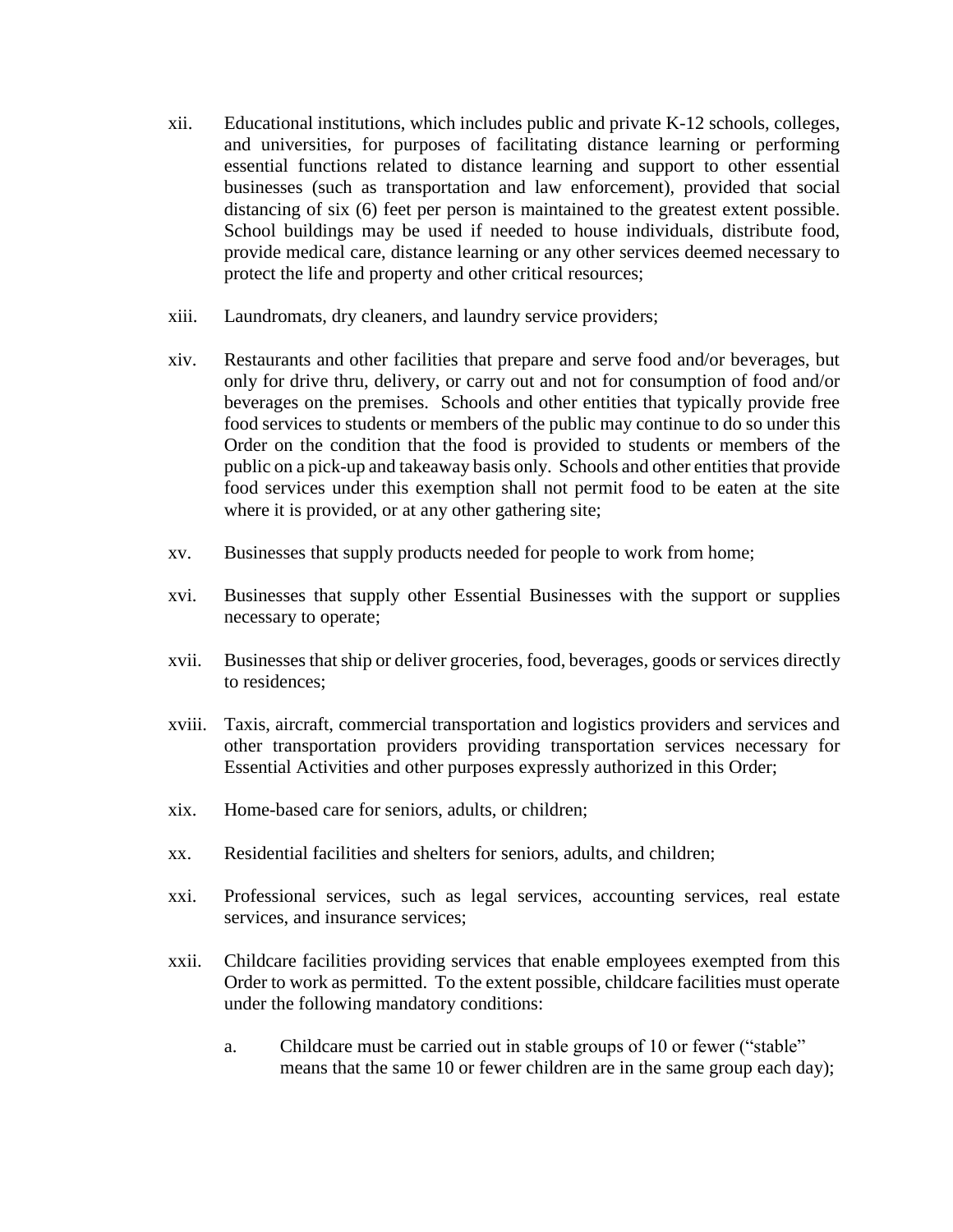- xii. Educational institutions, which includes public and private K-12 schools, colleges, and universities, for purposes of facilitating distance learning or performing essential functions related to distance learning and support to other essential businesses (such as transportation and law enforcement), provided that social distancing of six (6) feet per person is maintained to the greatest extent possible. School buildings may be used if needed to house individuals, distribute food, provide medical care, distance learning or any other services deemed necessary to protect the life and property and other critical resources;
- xiii. Laundromats, dry cleaners, and laundry service providers;
- xiv. Restaurants and other facilities that prepare and serve food and/or beverages, but only for drive thru, delivery, or carry out and not for consumption of food and/or beverages on the premises. Schools and other entities that typically provide free food services to students or members of the public may continue to do so under this Order on the condition that the food is provided to students or members of the public on a pick-up and takeaway basis only. Schools and other entities that provide food services under this exemption shall not permit food to be eaten at the site where it is provided, or at any other gathering site;
- xv. Businesses that supply products needed for people to work from home;
- xvi. Businesses that supply other Essential Businesses with the support or supplies necessary to operate;
- xvii. Businesses that ship or deliver groceries, food, beverages, goods or services directly to residences;
- xviii. Taxis, aircraft, commercial transportation and logistics providers and services and other transportation providers providing transportation services necessary for Essential Activities and other purposes expressly authorized in this Order;
- xix. Home-based care for seniors, adults, or children;
- xx. Residential facilities and shelters for seniors, adults, and children;
- xxi. Professional services, such as legal services, accounting services, real estate services, and insurance services;
- xxii. Childcare facilities providing services that enable employees exempted from this Order to work as permitted. To the extent possible, childcare facilities must operate under the following mandatory conditions:
	- a. Childcare must be carried out in stable groups of 10 or fewer ("stable" means that the same 10 or fewer children are in the same group each day);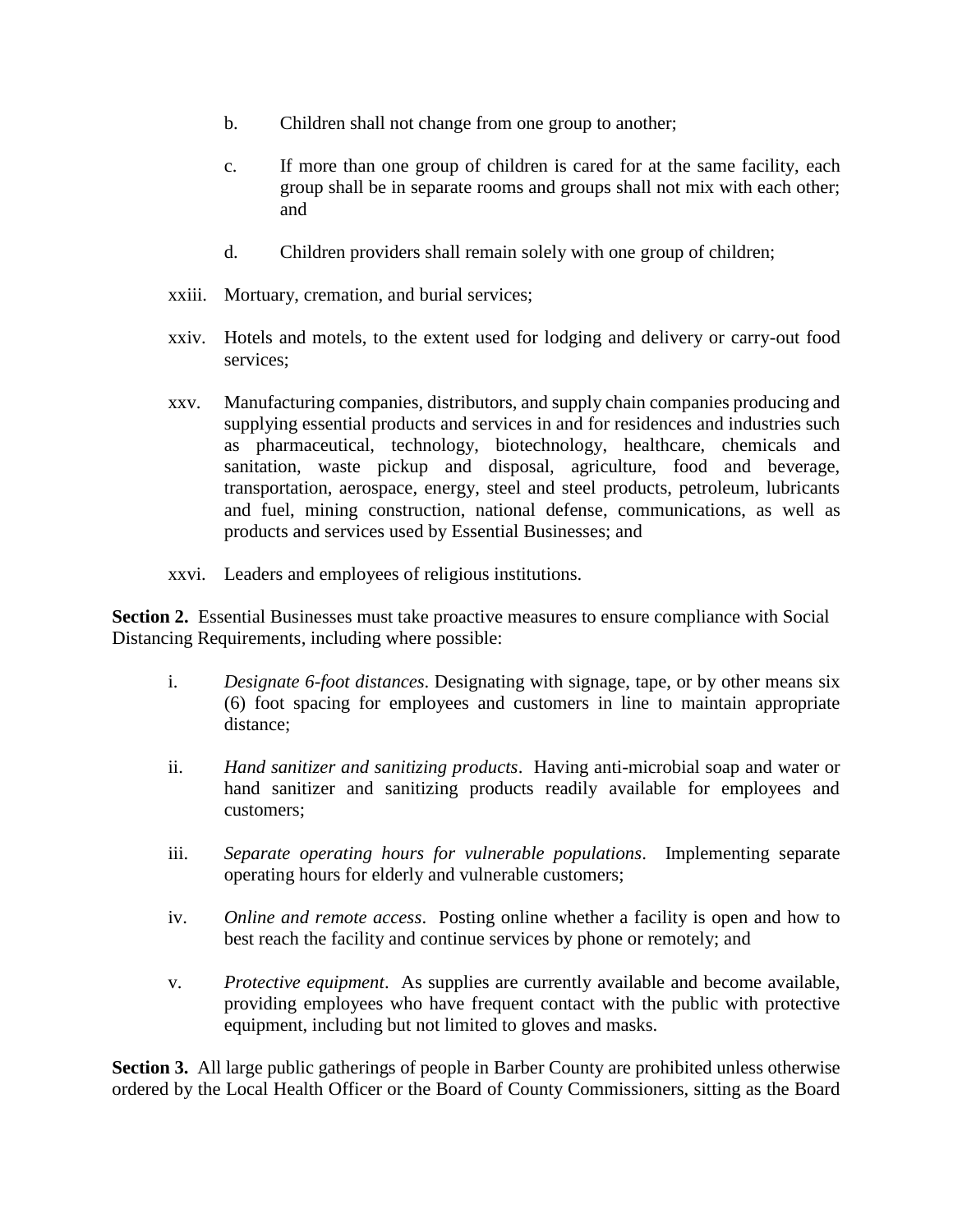- b. Children shall not change from one group to another;
- c. If more than one group of children is cared for at the same facility, each group shall be in separate rooms and groups shall not mix with each other; and
- d. Children providers shall remain solely with one group of children;
- xxiii. Mortuary, cremation, and burial services;
- xxiv. Hotels and motels, to the extent used for lodging and delivery or carry-out food services;
- xxv. Manufacturing companies, distributors, and supply chain companies producing and supplying essential products and services in and for residences and industries such as pharmaceutical, technology, biotechnology, healthcare, chemicals and sanitation, waste pickup and disposal, agriculture, food and beverage, transportation, aerospace, energy, steel and steel products, petroleum, lubricants and fuel, mining construction, national defense, communications, as well as products and services used by Essential Businesses; and
- xxvi. Leaders and employees of religious institutions.

**Section 2.** Essential Businesses must take proactive measures to ensure compliance with Social Distancing Requirements, including where possible:

- i. *Designate 6-foot distances*. Designating with signage, tape, or by other means six (6) foot spacing for employees and customers in line to maintain appropriate distance;
- ii. *Hand sanitizer and sanitizing products*. Having anti-microbial soap and water or hand sanitizer and sanitizing products readily available for employees and customers;
- iii. *Separate operating hours for vulnerable populations*. Implementing separate operating hours for elderly and vulnerable customers;
- iv. *Online and remote access*. Posting online whether a facility is open and how to best reach the facility and continue services by phone or remotely; and
- v. *Protective equipment*. As supplies are currently available and become available, providing employees who have frequent contact with the public with protective equipment, including but not limited to gloves and masks.

**Section 3.** All large public gatherings of people in Barber County are prohibited unless otherwise ordered by the Local Health Officer or the Board of County Commissioners, sitting as the Board